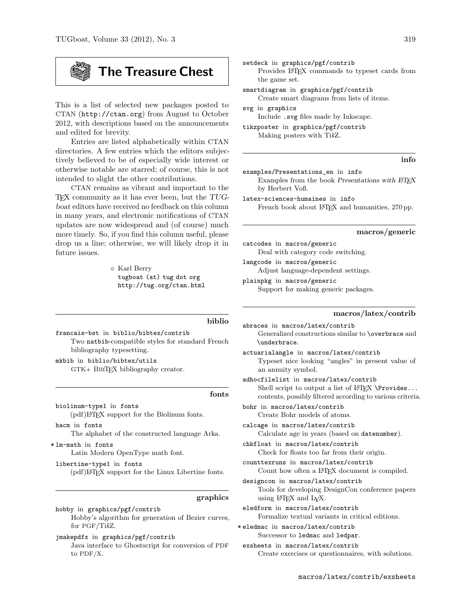This is a list of selected new packages posted to CTAN (http://ctan.org) from August to October 2012, with descriptions based on the announcements and edited for brevity.

Entries are listed alphabetically within CTAN directories. A few entries which the editors subjectively believed to be of especially wide interest or otherwise notable are starred; of course, this is not intended to slight the other contributions.

CTAN remains as vibrant and important to the TEX community as it has ever been, but the TUGboat editors have received no feedback on this column in many years, and electronic notifications of CTAN updates are now widespread and (of course) much more timely. So, if you find this column useful, please drop us a line; otherwise, we will likely drop it in future issues.

> $\diamond$  Karl Berry tugboat (at) tug dot org http://tug.org/ctan.html

francais-bst in biblio/bibtex/contrib Two natbib-compatible styles for standard French bibliography typesetting. mkbib in biblio/bibtex/utils

GTK+ BibTEX bibliography creator.

# fonts

biblio

biolinum-type1 in fonts (pdf)LATEX support for the Biolinum fonts.

hacm in fonts The alphabet of the constructed language Arka.

\* lm-math in fonts Latin Modern OpenType math font.

libertine-type1 in fonts (pdf)LATEX support for the Linux Libertine fonts.

#### graphics

hobby in graphics/pgf/contrib Hobby's algorithm for generation of Bezier curves, for PGF/TikZ.

jmakepdfx in graphics/pgf/contrib Java interface to Ghostscript for conversion of PDF to PDF/X.

setdeck in graphics/pgf/contrib Provides LAT<sub>EX</sub> commands to typeset cards from the game set.

smartdiagram in graphics/pgf/contrib Create smart diagrams from lists of items.

svg in graphics Include .svg files made by Inkscape.

tikzposter in graphics/pgf/contrib Making posters with TikZ.

# info

examples/Presentations\_en in info

Examples from the book Presentations with  $BTEX$ by Herbert Voß.

latex-sciences-humaines in info French book about LAT<sub>F</sub>X and humanities, 270 pp.

#### macros/generic

catcodes in macros/generic Deal with category code switching. langcode in macros/generic

Adjust language-dependent settings.

plainpkg in macros/generic Support for making generic packages.

## macros/latex/contrib

abraces in macros/latex/contrib Generalized constructions similar to \overbrace and \underbrace.

actuarialangle in macros/latex/contrib Typeset nice looking "angles" in present value of an annuity symbol.

adhocfilelist in macros/latex/contrib Shell script to output a list of  $LATFX \$  \Provides... contents, possibly filtered according to various criteria.

bohr in macros/latex/contrib Create Bohr models of atoms.

calcage in macros/latex/contrib Calculate age in years (based on datenumber).

chkfloat in macros/latex/contrib Check for floats too far from their origin.

counttexruns in macros/latex/contrib Count how often a L<sup>AT</sup>FX document is compiled.

designcon in macros/latex/contrib Tools for developing DesignCon conference papers using LATEX and LYX.

eledform in macros/latex/contrib Formalize textual variants in critical editions.

\* eledmac in macros/latex/contrib Successor to ledmac and ledpar.

exsheets in macros/latex/contrib Create exercises or questionnaires, with solutions.